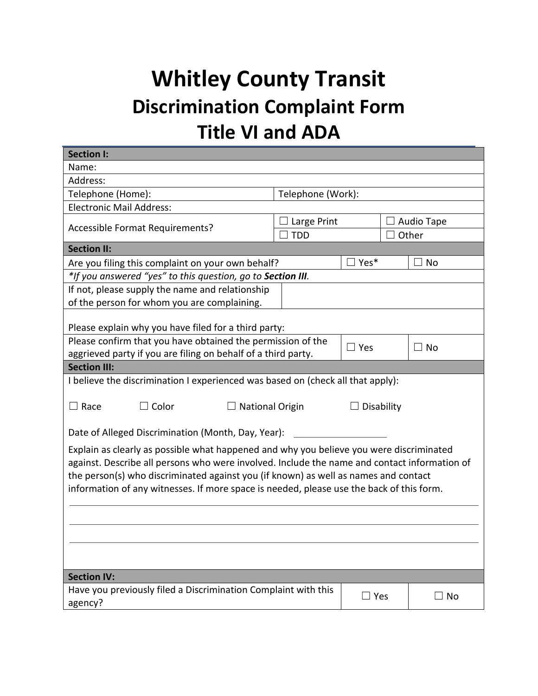## **Whitley County Transit Discrimination Complaint Form Title VI and ADA**

| <b>Section I:</b>                                                                            |                        |            |            |           |  |
|----------------------------------------------------------------------------------------------|------------------------|------------|------------|-----------|--|
| Name:                                                                                        |                        |            |            |           |  |
| Address:                                                                                     |                        |            |            |           |  |
| Telephone (Home):                                                                            | Telephone (Work):      |            |            |           |  |
| <b>Electronic Mail Address:</b>                                                              |                        |            |            |           |  |
| Accessible Format Requirements?                                                              | Large Print            |            | Audio Tape |           |  |
|                                                                                              | <b>TDD</b>             |            | Other      |           |  |
| <b>Section II:</b>                                                                           |                        |            |            |           |  |
| Are you filing this complaint on your own behalf?                                            | $\Box$ Yes*            |            |            | $\Box$ No |  |
| *If you answered "yes" to this question, go to Section III.                                  |                        |            |            |           |  |
| If not, please supply the name and relationship                                              |                        |            |            |           |  |
| of the person for whom you are complaining.                                                  |                        |            |            |           |  |
|                                                                                              |                        |            |            |           |  |
| Please explain why you have filed for a third party:                                         |                        |            |            |           |  |
| Please confirm that you have obtained the permission of the                                  | $\Box$ Yes             |            |            | $\Box$ No |  |
| aggrieved party if you are filing on behalf of a third party.                                |                        |            |            |           |  |
| <b>Section III:</b>                                                                          |                        |            |            |           |  |
| I believe the discrimination I experienced was based on (check all that apply):              |                        |            |            |           |  |
|                                                                                              |                        |            |            |           |  |
| $\Box$ Race<br>$\Box$ Color                                                                  | <b>National Origin</b> |            | Disability |           |  |
|                                                                                              |                        |            |            |           |  |
| Date of Alleged Discrimination (Month, Day, Year):                                           |                        |            |            |           |  |
| Explain as clearly as possible what happened and why you believe you were discriminated      |                        |            |            |           |  |
| against. Describe all persons who were involved. Include the name and contact information of |                        |            |            |           |  |
| the person(s) who discriminated against you (if known) as well as names and contact          |                        |            |            |           |  |
| information of any witnesses. If more space is needed, please use the back of this form.     |                        |            |            |           |  |
|                                                                                              |                        |            |            |           |  |
|                                                                                              |                        |            |            |           |  |
|                                                                                              |                        |            |            |           |  |
|                                                                                              |                        |            |            |           |  |
|                                                                                              |                        |            |            |           |  |
| <b>Section IV:</b>                                                                           |                        |            |            |           |  |
| Have you previously filed a Discrimination Complaint with this                               |                        |            |            |           |  |
| agency?                                                                                      |                        | $\Box$ Yes |            | $\Box$ No |  |